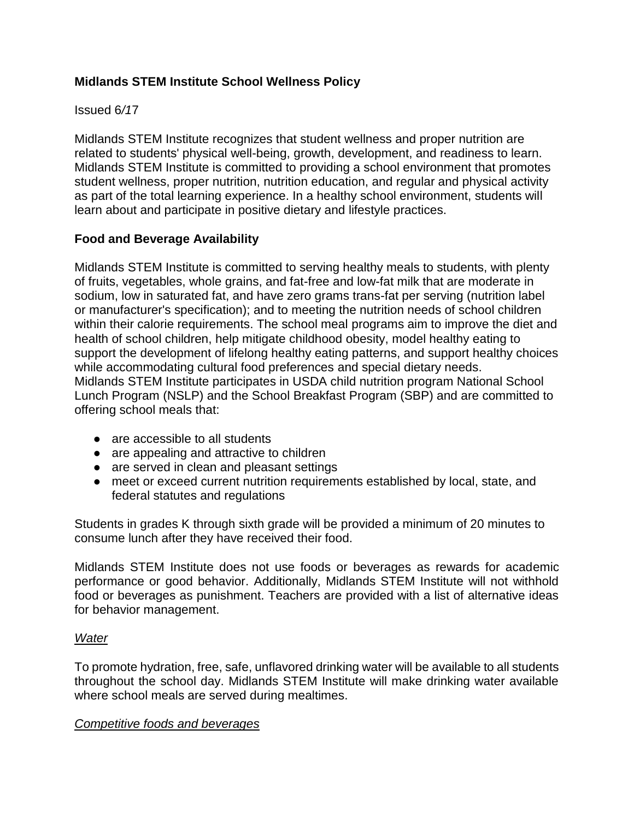# **Midlands STEM Institute School Wellness Policy**

## Issued 6*/1*7

Midlands STEM Institute recognizes that student wellness and proper nutrition are related to students' physical well-being, growth, development, and readiness to learn. Midlands STEM Institute is committed to providing a school environment that promotes student wellness, proper nutrition, nutrition education, and regular and physical activity as part of the total learning experience. In a healthy school environment, students will learn about and participate in positive dietary and lifestyle practices.

# **Food and Beverage A***v***ailability**

Midlands STEM Institute is committed to serving healthy meals to students, with plenty of fruits, vegetables, whole grains, and fat-free and low-fat milk that are moderate in sodium, low in saturated fat, and have zero grams trans-fat per serving (nutrition label or manufacturer's specification); and to meeting the nutrition needs of school children within their calorie requirements. The school meal programs aim to improve the diet and health of school children, help mitigate childhood obesity, model healthy eating to support the development of lifelong healthy eating patterns, and support healthy choices while accommodating cultural food preferences and special dietary needs. Midlands STEM Institute participates in USDA child nutrition program National School Lunch Program (NSLP) and the School Breakfast Program (SBP) and are committed to offering school meals that:

- are accessible to all students
- are appealing and attractive to children
- are served in clean and pleasant settings
- meet or exceed current nutrition requirements established by local, state, and federal statutes and regulations

Students in grades K through sixth grade will be provided a minimum of 20 minutes to consume lunch after they have received their food.

Midlands STEM Institute does not use foods or beverages as rewards for academic performance or good behavior. Additionally, Midlands STEM Institute will not withhold food or beverages as punishment. Teachers are provided with a list of alternative ideas for behavior management.

#### *Water*

To promote hydration, free, safe, unflavored drinking water will be available to all students throughout the school day. Midlands STEM Institute will make drinking water available where school meals are served during mealtimes.

#### *Competitive foods and beverages*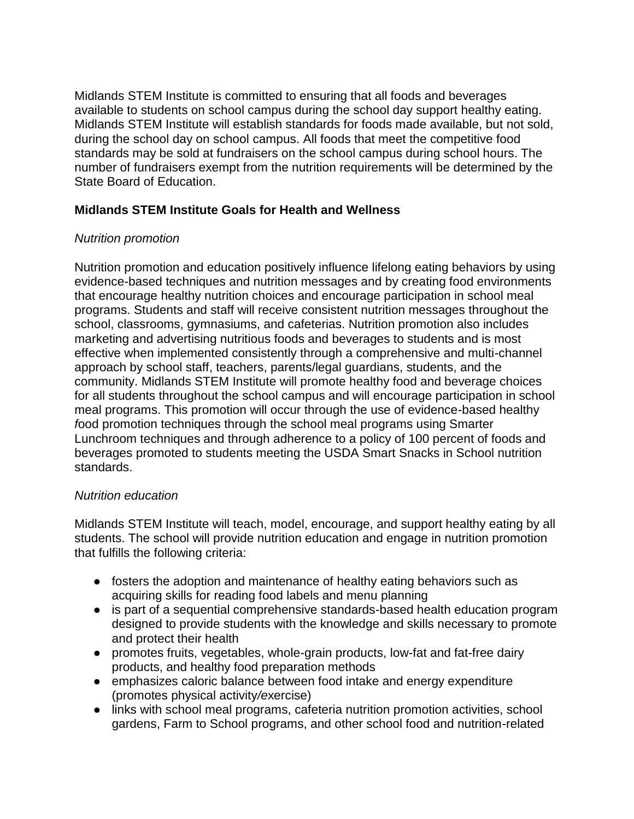Midlands STEM Institute is committed to ensuring that all foods and beverages available to students on school campus during the school day support healthy eating. Midlands STEM Institute will establish standards for foods made available, but not sold, during the school day on school campus. All foods that meet the competitive food standards may be sold at fundraisers on the school campus during school hours. The number of fundraisers exempt from the nutrition requirements will be determined by the State Board of Education.

# **Midlands STEM Institute Goals for Health and Wellness**

## *Nutrition promotion*

Nutrition promotion and education positively influence lifelong eating behaviors by using evidence-based techniques and nutrition messages and by creating food environments that encourage healthy nutrition choices and encourage participation in school meal programs. Students and staff will receive consistent nutrition messages throughout the school, classrooms, gymnasiums, and cafeterias. Nutrition promotion also includes marketing and advertising nutritious foods and beverages to students and is most effective when implemented consistently through a comprehensive and multi-channel approach by school staff, teachers, parents/legal guardians, students, and the community. Midlands STEM Institute will promote healthy food and beverage choices for all students throughout the school campus and will encourage participation in school meal programs. This promotion will occur through the use of evidence-based healthy *f*ood promotion techniques through the school meal programs using Smarter Lunchroom techniques and through adherence to a policy of 100 percent of foods and beverages promoted to students meeting the USDA Smart Snacks in School nutrition standards.

#### *Nutrition education*

Midlands STEM Institute will teach, model, encourage, and support healthy eating by all students. The school will provide nutrition education and engage in nutrition promotion that fulfills the following criteria:

- fosters the adoption and maintenance of healthy eating behaviors such as acquiring skills for reading food labels and menu planning
- is part of a sequential comprehensive standards-based health education program designed to provide students with the knowledge and skills necessary to promote and protect their health
- promotes fruits, vegetables, whole-grain products, low-fat and fat-free dairy products, and healthy food preparation methods
- emphasizes caloric balance between food intake and energy expenditure (promotes physical activity*/e*xercise)
- links with school meal programs, cafeteria nutrition promotion activities, school gardens, Farm to School programs, and other school food and nutrition-related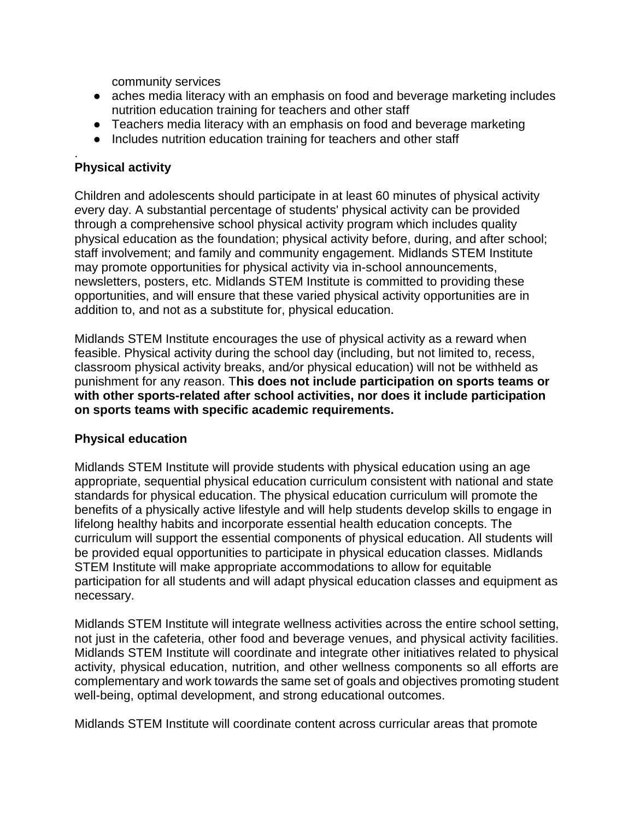community services

- aches media literacy with an emphasis on food and beverage marketing includes nutrition education training for teachers and other staff
- Teachers media literacy with an emphasis on food and beverage marketing
- Includes nutrition education training for teachers and other staff

#### . **Physical activity**

Children and adolescents should participate in at least 60 minutes of physical activity *e*very day. A substantial percentage of students' physical activity can be provided through a comprehensive school physical activity program which includes quality physical education as the foundation; physical activity before, during, and after school; staff involvement; and family and community engagement. Midlands STEM Institute may promote opportunities for physical activity via in-school announcements, newsletters, posters, etc. Midlands STEM Institute is committed to providing these opportunities, and will ensure that these varied physical activity opportunities are in addition to, and not as a substitute for, physical education.

Midlands STEM Institute encourages the use of physical activity as a reward when feasible. Physical activity during the school day (including, but not limited to, recess, classroom physical activity breaks, and*/*or physical education) will not be withheld as punishment for any *r*eason. T**his does not include participation on sports teams or with other sports-related after school activities, nor does it include participation on sports teams with specific academic requirements.** 

# **Physical education**

Midlands STEM Institute will provide students with physical education using an age appropriate, sequential physical education curriculum consistent with national and state standards for physical education. The physical education curriculum will promote the benefits of a physically active lifestyle and will help students develop skills to engage in lifelong healthy habits and incorporate essential health education concepts. The curriculum will support the essential components of physical education. All students will be provided equal opportunities to participate in physical education classes. Midlands STEM Institute will make appropriate accommodations to allow for equitable participation for all students and will adapt physical education classes and equipment as necessary.

Midlands STEM Institute will integrate wellness activities across the entire school setting, not just in the cafeteria, other food and beverage venues, and physical activity facilities. Midlands STEM Institute will coordinate and integrate other initiatives related to physical activity, physical education, nutrition, and other wellness components so all efforts are complementary and work to*w*ards the same set of goals and objectives promoting student well-being, optimal development, and strong educational outcomes.

Midlands STEM Institute will coordinate content across curricular areas that promote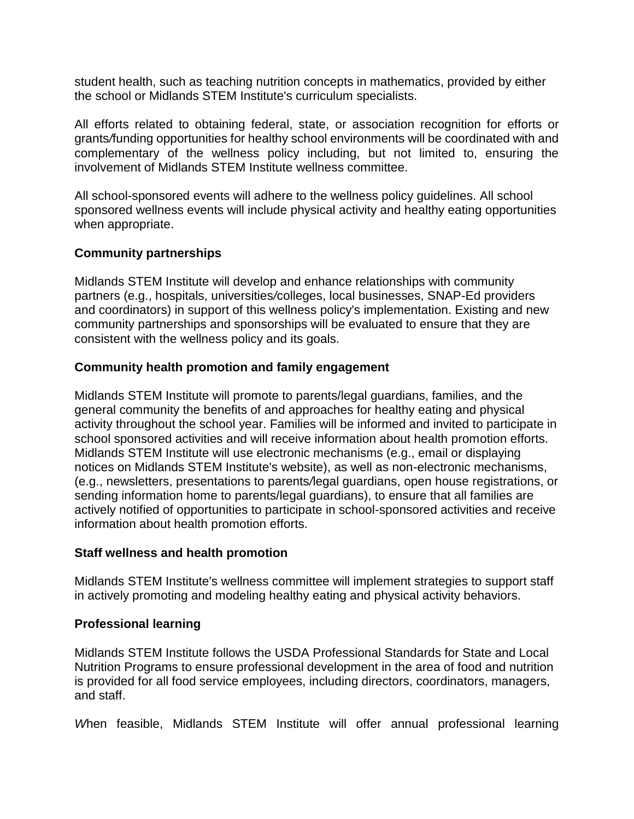student health, such as teaching nutrition concepts in mathematics, provided by either the school or Midlands STEM Institute's curriculum specialists.

All efforts related to obtaining federal, state, or association recognition for efforts or grants*/*funding opportunities for healthy school environments will be coordinated with and complementary of the wellness policy including, but not limited to, ensuring the involvement of Midlands STEM Institute wellness committee.

All school-sponsored events will adhere to the wellness policy guidelines. All school sponsored wellness events will include physical activity and healthy eating opportunities when appropriate.

## **Community partnerships**

Midlands STEM Institute will develop and enhance relationships with community partners (e.g., hospitals, universities*/*colleges, local businesses, SNAP-Ed providers and coordinators) in support of this wellness policy's implementation. Existing and new community partnerships and sponsorships will be evaluated to ensure that they are consistent with the wellness policy and its goals.

## **Community health promotion and family engagement**

Midlands STEM Institute will promote to parents/legal guardians, families, and the general community the benefits of and approaches for healthy eating and physical activity throughout the school year. Families will be informed and invited to participate in school sponsored activities and will receive information about health promotion efforts. Midlands STEM Institute will use electronic mechanisms (e.g., email or displaying notices on Midlands STEM Institute's website), as well as non-electronic mechanisms, (e.g., newsletters, presentations to parents*/*legal guardians, open house registrations, or sending information home to parents/legal guardians), to ensure that all families are actively notified of opportunities to participate in school-sponsored activities and receive information about health promotion efforts.

#### **Staff wellness and health promotion**

Midlands STEM Institute's wellness committee will implement strategies to support staff in actively promoting and modeling healthy eating and physical activity behaviors.

#### **Professional learning**

Midlands STEM Institute follows the USDA Professional Standards for State and Local Nutrition Programs to ensure professional development in the area of food and nutrition is provided for all food service employees, including directors, coordinators, managers, and staff.

*W*hen feasible, Midlands STEM Institute will offer annual professional learning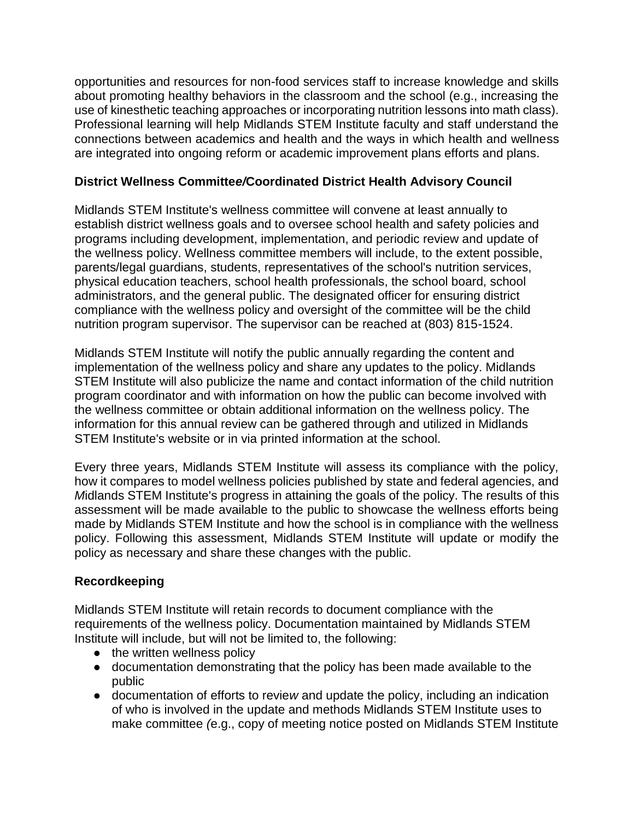opportunities and resources for non-food services staff to increase knowledge and skills about promoting healthy behaviors in the classroom and the school (e.g., increasing the use of kinesthetic teaching approaches or incorporating nutrition lessons into math class). Professional learning will help Midlands STEM Institute faculty and staff understand the connections between academics and health and the ways in which health and wellness are integrated into ongoing reform or academic improvement plans efforts and plans.

# **District Wellness Committe***e/***Coordinated District Health Advisory Council**

Midlands STEM Institute's wellness committee will convene at least annually to establish district wellness goals and to oversee school health and safety policies and programs including development, implementation, and periodic review and update of the wellness policy. Wellness committee members will include, to the extent possible, parents/legal guardians, students, representatives of the school's nutrition services, physical education teachers, school health professionals, the school board, school administrators, and the general public. The designated officer for ensuring district compliance with the wellness policy and oversight of the committee will be the child nutrition program supervisor. The supervisor can be reached at (803) 815-1524.

Midlands STEM Institute will notify the public annually regarding the content and implementation of the wellness policy and share any updates to the policy. Midlands STEM Institute will also publicize the name and contact information of the child nutrition program coordinator and with information on how the public can become involved with the wellness committee or obtain additional information on the wellness policy. The information for this annual review can be gathered through and utilized in Midlands STEM Institute's website or in via printed information at the school.

Every three years, Midlands STEM Institute will assess its compliance with the policy, how it compares to model wellness policies published by state and federal agencies, and *M*idlands STEM Institute's progress in attaining the goals of the policy. The results of this assessment will be made available to the public to showcase the wellness efforts being made by Midlands STEM Institute and how the school is in compliance with the wellness policy. Following this assessment, Midlands STEM Institute will update or modify the policy as necessary and share these changes with the public.

# **Recordkeeping**

Midlands STEM Institute will retain records to document compliance with the requirements of the wellness policy. Documentation maintained by Midlands STEM Institute will include, but will not be limited to, the following:

- the written wellness policy
- documentation demonstrating that the policy has been made available to the public
- documentation of efforts to revie*w* and update the policy, including an indication of who is involved in the update and methods Midlands STEM Institute uses to make committee *(*e.g., copy of meeting notice posted on Midlands STEM Institute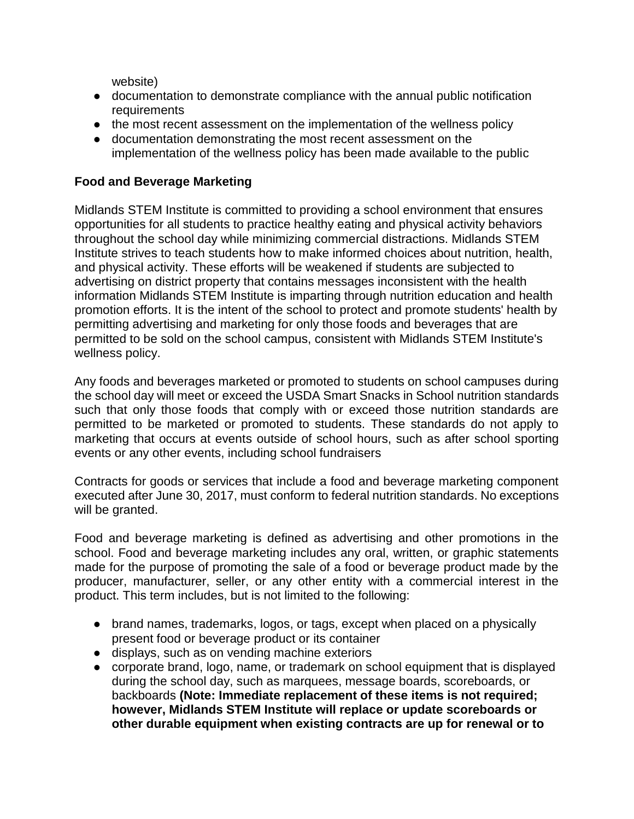website)

- documentation to demonstrate compliance with the annual public notification requirements
- the most recent assessment on the implementation of the wellness policy
- documentation demonstrating the most recent assessment on the implementation of the wellness policy has been made available to the public

# **Food and Beverage Marketing**

Midlands STEM Institute is committed to providing a school environment that ensures opportunities for all students to practice healthy eating and physical activity behaviors throughout the school day while minimizing commercial distractions. Midlands STEM Institute strives to teach students how to make informed choices about nutrition, health, and physical activity. These efforts will be weakened if students are subjected to advertising on district property that contains messages inconsistent with the health information Midlands STEM Institute is imparting through nutrition education and health promotion efforts. It is the intent of the school to protect and promote students' health by permitting advertising and marketing for only those foods and beverages that are permitted to be sold on the school campus, consistent with Midlands STEM Institute's wellness policy.

Any foods and beverages marketed or promoted to students on school campuses during the school day will meet or exceed the USDA Smart Snacks in School nutrition standards such that only those foods that comply with or exceed those nutrition standards are permitted to be marketed or promoted to students. These standards do not apply to marketing that occurs at events outside of school hours, such as after school sporting events or any other events, including school fundraisers

Contracts for goods or services that include a food and beverage marketing component executed after June 30, 2017, must conform to federal nutrition standards. No exceptions will be granted.

Food and be*v*erage marketing is defined as advertising and other promotions in the school. Food and beverage marketing includes any oral, written, or graphic statements made for the purpose of promoting the sale of a food or beverage product made by the producer, manufacturer, seller, or any other entity with a commercial interest in the product. This term includes, but is not limited to the following:

- brand names, trademarks, logos, or tags, except when placed on a physically present food or beverage product or its container
- displays, such as on vending machine exteriors
- corporate brand, logo, name, or trademark on school equipment that is displayed during the school day, such as marquees, message boards, scoreboards, or backboards **(Note: Immediate replacement of these items is not required; however, Midlands STEM Institute will replace or update scoreboards or other durable equipment when existing contracts are up for renewal or to**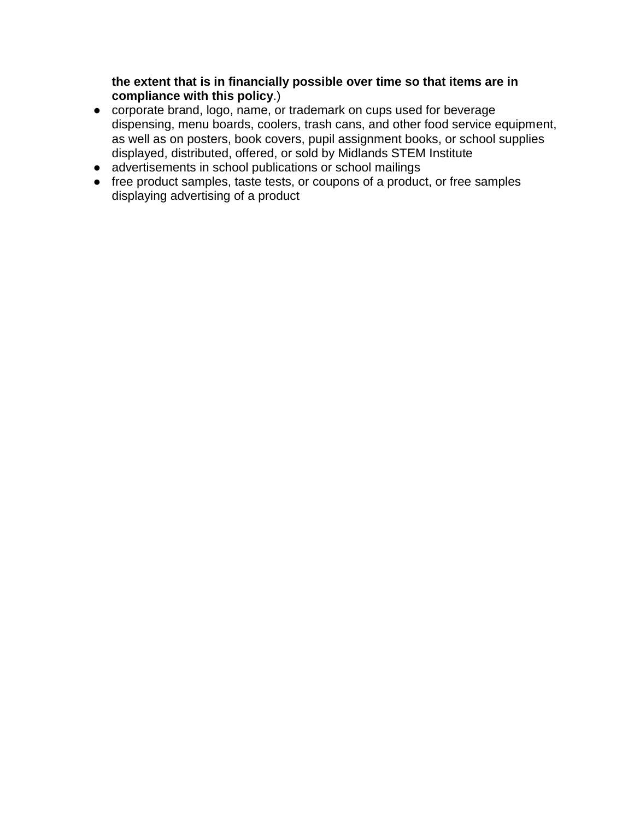**the extent that is in financially possible over time so that items are in compliance with this policy**.)

- corporate brand, logo, name, or trademark on cups used for beverage dispensing, menu boards, coolers, trash cans, and other food service equipment, as well as on posters, book covers, pupil assignment books, or school supplies displayed, distributed, offered, or sold by Midlands STEM Institute
- advertisements in school publications or school mailings
- free product samples, taste tests, or coupons of a product, or free samples displaying advertising of a product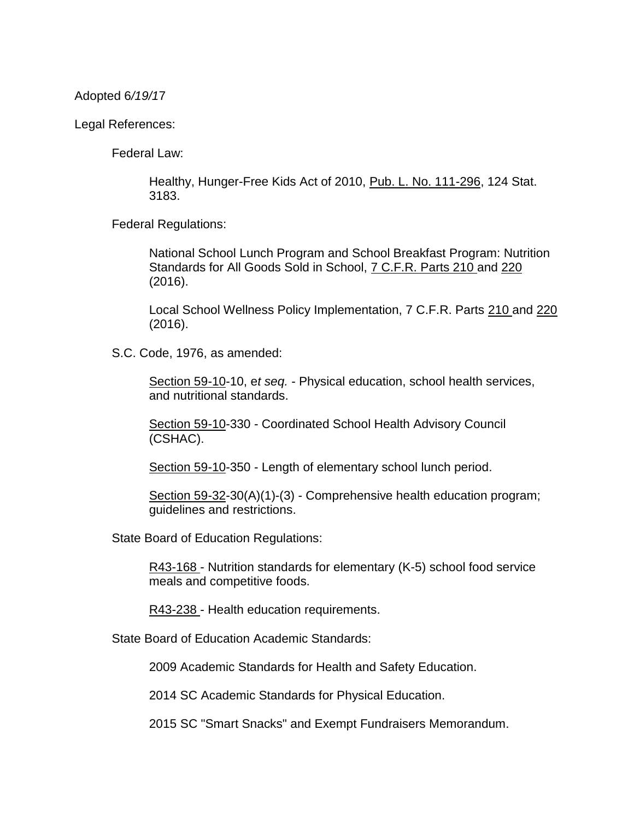Adopted 6*/19/1*7

Legal References:

Federal Law:

Healthy, Hunger-Free Kids Act of 2010, Pub. L. No. 111-296, 124 Stat. 3183.

Federal Regulations:

National School Lunch Program and School Breakfast Program: Nutrition Standards for All Goods Sold in School, 7 C.F.R. Parts 210 and 220 (2016).

Local School Wellness Policy Implementation, 7 C.F.R. Parts 210 and 220 (2016).

S.C. Code, 1976, as amended:

Section 59-10-10, e*t seq.* - Physical education, school health services, and nutritional standards.

Section 59-10-330 - Coordinated School Health Advisory Council (CSHAC).

Section 59-10-350 - Length of elementary school lunch period.

Section 59-32-30(A)(1)-(3) - Comprehensive health education program; guidelines and restrictions.

State Board of Education Regulations:

R43-168 - Nutrition standards for elementary (K-5) school food service meals and competitive foods.

R43-238 - Health education requirements.

State Board of Education Academic Standards:

2009 Academic Standards for Health and Safety Education.

2014 SC Academic Standards for Physical Education.

2015 SC "Smart Snacks" and Exempt Fundraisers Memorandum.